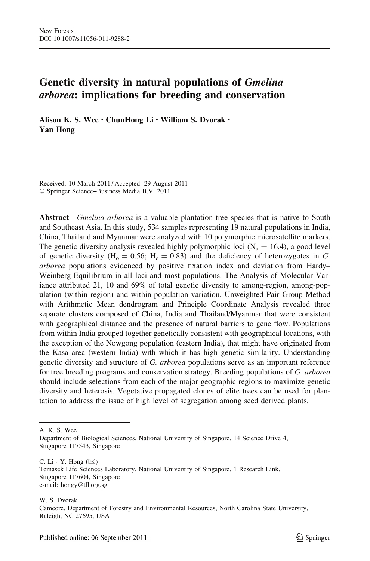# Genetic diversity in natural populations of Gmelina arborea: implications for breeding and conservation

Alison K. S. Wee • ChunHong Li • William S. Dvorak • Yan Hong

Received: 10 March 2011 / Accepted: 29 August 2011 - Springer Science+Business Media B.V. 2011

Abstract *Gmelina arborea* is a valuable plantation tree species that is native to South and Southeast Asia. In this study, 534 samples representing 19 natural populations in India, China, Thailand and Myanmar were analyzed with 10 polymorphic microsatellite markers. The genetic diversity analysis revealed highly polymorphic loci ( $N_a = 16.4$ ), a good level of genetic diversity ( $H_0 = 0.56$ ;  $H_e = 0.83$ ) and the deficiency of heterozygotes in G. arborea populations evidenced by positive fixation index and deviation from Hardy– Weinberg Equilibrium in all loci and most populations. The Analysis of Molecular Variance attributed 21, 10 and 69% of total genetic diversity to among-region, among-population (within region) and within-population variation. Unweighted Pair Group Method with Arithmetic Mean dendrogram and Principle Coordinate Analysis revealed three separate clusters composed of China, India and Thailand/Myanmar that were consistent with geographical distance and the presence of natural barriers to gene flow. Populations from within India grouped together genetically consistent with geographical locations, with the exception of the Nowgong population (eastern India), that might have originated from the Kasa area (western India) with which it has high genetic similarity. Understanding genetic diversity and structure of G. arborea populations serve as an important reference for tree breeding programs and conservation strategy. Breeding populations of G. arborea should include selections from each of the major geographic regions to maximize genetic diversity and heterosis. Vegetative propagated clones of elite trees can be used for plantation to address the issue of high level of segregation among seed derived plants.

A. K. S. Wee

C. Li  $\cdot$  Y. Hong ( $\boxtimes$ ) Temasek Life Sciences Laboratory, National University of Singapore, 1 Research Link, Singapore 117604, Singapore e-mail: hongy@tll.org.sg

W. S. Dvorak Camcore, Department of Forestry and Environmental Resources, North Carolina State University, Raleigh, NC 27695, USA

Department of Biological Sciences, National University of Singapore, 14 Science Drive 4, Singapore 117543, Singapore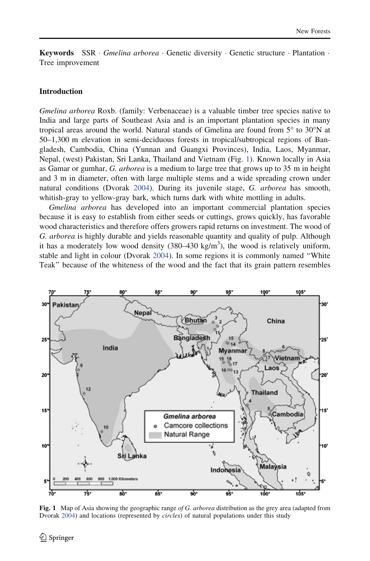Keywords SSR · Gmelina arborea · Genetic diversity · Genetic structure · Plantation · Tree improvement

#### **Introduction**

Gmelina arborea Roxb. (family: Verbenaceae) is a valuable timber tree species native to India and large parts of Southeast Asia and is an important plantation species in many tropical areas around the world. Natural stands of Gmelina are found from  $5^{\circ}$  to  $30^{\circ}$ N at 50–1,300 m elevation in semi-deciduous forests in tropical/subtropical regions of Bangladesh, Cambodia, China (Yunnan and Guangxi Provinces), India, Laos, Myanmar, Nepal, (west) Pakistan, Sri Lanka, Thailand and Vietnam (Fig. 1). Known locally in Asia as Gamar or gumhar, G. arborea is a medium to large tree that grows up to 35 m in height and 3 m in diameter, often with large multiple stems and a wide spreading crown under natural conditions (Dvorak [2004\)](#page-16-0). During its juvenile stage, G. arborea has smooth, whitish-gray to yellow-gray bark, which turns dark with white mottling in adults.

Gmelina arborea has developed into an important commercial plantation species because it is easy to establish from either seeds or cuttings, grows quickly, has favorable wood characteristics and therefore offers growers rapid returns on investment. The wood of G. arborea is highly durable and yields reasonable quantity and quality of pulp. Although it has a moderately low wood density  $(380-430 \text{ kg/m}^3)$ , the wood is relatively uniform, stable and light in colour (Dvorak [2004\)](#page-16-0). In some regions it is commonly named ''White Teak'' because of the whiteness of the wood and the fact that its grain pattern resembles



Fig. 1 Map of Asia showing the geographic range of G. arborea distribution as the grey area (adapted from Dvorak [2004](#page-16-0)) and locations (represented by *circles*) of natural populations under this study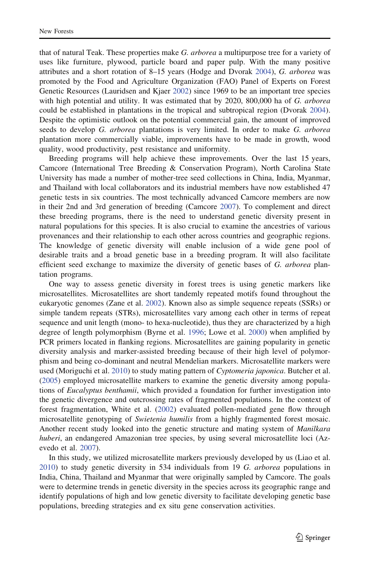that of natural Teak. These properties make G. arborea a multipurpose tree for a variety of uses like furniture, plywood, particle board and paper pulp. With the many positive attributes and a short rotation of 8–15 years (Hodge and Dvorak [2004](#page-16-0)), G. arborea was promoted by the Food and Agriculture Organization (FAO) Panel of Experts on Forest Genetic Resources (Lauridsen and Kjaer [2002](#page-16-0)) since 1969 to be an important tree species with high potential and utility. It was estimated that by 2020, 800,000 ha of G. arborea could be established in plantations in the tropical and subtropical region (Dvorak [2004](#page-16-0)). Despite the optimistic outlook on the potential commercial gain, the amount of improved seeds to develop G. arborea plantations is very limited. In order to make G. arborea plantation more commercially viable, improvements have to be made in growth, wood quality, wood productivity, pest resistance and uniformity.

Breeding programs will help achieve these improvements. Over the last 15 years, Camcore (International Tree Breeding & Conservation Program), North Carolina State University has made a number of mother-tree seed collections in China, India, Myanmar, and Thailand with local collaborators and its industrial members have now established 47 genetic tests in six countries. The most technically advanced Camcore members are now in their 2nd and 3rd generation of breeding (Camcore [2007](#page-16-0)). To complement and direct these breeding programs, there is the need to understand genetic diversity present in natural populations for this species. It is also crucial to examine the ancestries of various provenances and their relationship to each other across countries and geographic regions. The knowledge of genetic diversity will enable inclusion of a wide gene pool of desirable traits and a broad genetic base in a breeding program. It will also facilitate efficient seed exchange to maximize the diversity of genetic bases of G. arborea plantation programs.

One way to assess genetic diversity in forest trees is using genetic markers like microsatellites. Microsatellites are short tandemly repeated motifs found throughout the eukaryotic genomes (Zane et al. [2002\)](#page-17-0). Known also as simple sequence repeats (SSRs) or simple tandem repeats (STRs), microsatellites vary among each other in terms of repeat sequence and unit length (mono- to hexa-nucleotide), thus they are characterized by a high degree of length polymorphism (Byrne et al. [1996](#page-16-0); Lowe et al. [2000](#page-16-0)) when amplified by PCR primers located in flanking regions. Microsatellites are gaining popularity in genetic diversity analysis and marker-assisted breeding because of their high level of polymorphism and being co-dominant and neutral Mendelian markers. Microsatellite markers were used (Moriguchi et al. [2010](#page-16-0)) to study mating pattern of Cyptomeria japonica. Butcher et al. ([2005\)](#page-16-0) employed microsatellite markers to examine the genetic diversity among populations of *Eucalyptus benthamii*, which provided a foundation for further investigation into the genetic divergence and outcrossing rates of fragmented populations. In the context of forest fragmentation, White et al. [\(2002](#page-17-0)) evaluated pollen-mediated gene flow through microsatellite genotyping of *Swietenia humilis* from a highly fragmented forest mosaic. Another recent study looked into the genetic structure and mating system of Manilkara huberi, an endangered Amazonian tree species, by using several microsatellite loci (Azevedo et al. [2007\)](#page-16-0).

In this study, we utilized microsatellite markers previously developed by us (Liao et al. [2010\)](#page-16-0) to study genetic diversity in 534 individuals from 19 G. arborea populations in India, China, Thailand and Myanmar that were originally sampled by Camcore. The goals were to determine trends in genetic diversity in the species across its geographic range and identify populations of high and low genetic diversity to facilitate developing genetic base populations, breeding strategies and ex situ gene conservation activities.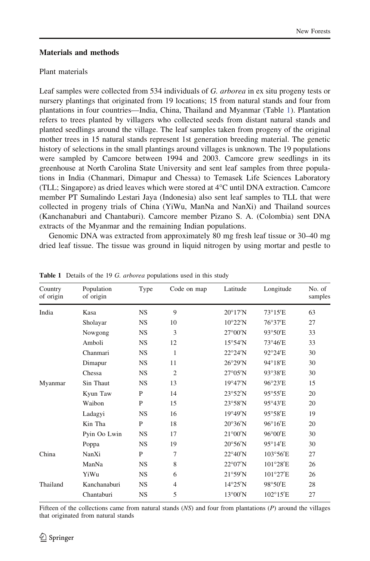# Materials and methods

# Plant materials

Leaf samples were collected from 534 individuals of G. arborea in ex situ progeny tests or nursery plantings that originated from 19 locations; 15 from natural stands and four from plantations in four countries—India, China, Thailand and Myanmar (Table 1). Plantation refers to trees planted by villagers who collected seeds from distant natural stands and planted seedlings around the village. The leaf samples taken from progeny of the original mother trees in 15 natural stands represent 1st generation breeding material. The genetic history of selections in the small plantings around villages is unknown. The 19 populations were sampled by Camcore between 1994 and 2003. Camcore grew seedlings in its greenhouse at North Carolina State University and sent leaf samples from three populations in India (Chanmari, Dimapur and Chessa) to Temasek Life Sciences Laboratory (TLL; Singapore) as dried leaves which were stored at  $4^{\circ}$ C until DNA extraction. Camcore member PT Sumalindo Lestari Jaya (Indonesia) also sent leaf samples to TLL that were collected in progeny trials of China (YiWu, ManNa and NanXi) and Thailand sources (Kanchanaburi and Chantaburi). Camcore member Pizano S. A. (Colombia) sent DNA extracts of the Myanmar and the remaining Indian populations.

Genomic DNA was extracted from approximately 80 mg fresh leaf tissue or 30–40 mg dried leaf tissue. The tissue was ground in liquid nitrogen by using mortar and pestle to

| Country<br>of origin | Population<br>of origin | Type      | Code on map    | Latitude                 | Longitude         | No. of<br>samples |
|----------------------|-------------------------|-----------|----------------|--------------------------|-------------------|-------------------|
| India                | Kasa                    | <b>NS</b> | 9              | $20^{\circ}17'$ N        | 73°15'E           | 63                |
|                      | Sholayar                | <b>NS</b> | 10             | $10^{\circ}22'$ N        | 76°37'E           | 27                |
|                      | Nowgong                 | <b>NS</b> | 3              | $27^{\circ}00^{\prime}N$ | $93^{\circ}50'E$  | 33                |
|                      | Amboli                  | <b>NS</b> | 12             | $15^{\circ}54'$ N        | 73°46'E           | 33                |
|                      | Chanmari                | <b>NS</b> | 1              | $22^{\circ}24'$ N        | 92°24'E           | 30                |
|                      | Dimapur                 | <b>NS</b> | 11             | $26^{\circ}29'$ N        | 94°18'E           | 30                |
|                      | Chessa                  | <b>NS</b> | $\overline{2}$ | $27^{\circ}05'$ N        | 93°38'E           | 30                |
| Myanmar              | Sin Thaut               | <b>NS</b> | 13             | $19^{\circ}47'$ N        | 96°23'E           | 15                |
|                      | Kyun Taw                | P         | 14             | 23°52'N                  | 95°55'E           | 20                |
|                      | Waibon                  | P         | 15             | 23°58'N                  | 95°43'E           | 20                |
|                      | Ladagyi                 | <b>NS</b> | 16             | $19^{\circ}49'$ N        | 95°58'E           | 19                |
|                      | Kin Tha                 | P         | 18             | $20^{\circ}36^{\prime}N$ | 96°16'E           | 20                |
|                      | Pyin Oo Lwin            | <b>NS</b> | 17             | $21^{\circ}00^{\prime}N$ | 96°00'E           | 30                |
|                      | Poppa                   | <b>NS</b> | 19             | $20^{\circ}56'$ N        | 95°14'E           | 30                |
| China                | NanXi                   | P         | 7              | 22°40'N                  | 103°56'E          | 27                |
|                      | ManNa                   | <b>NS</b> | 8              | $22^{\circ}07'$ N        | $101^{\circ}28'E$ | 26                |
|                      | YiWu                    | <b>NS</b> | 6              | 21°59'N                  | 101°27'E          | 26                |
| Thailand             | Kanchanaburi            | <b>NS</b> | 4              | $14^{\circ}25'$ N        | $98^{\circ}50'E$  | 28                |
|                      | Chantaburi              | <b>NS</b> | 5              | 13°00'N                  | $102^{\circ}15'E$ | 27                |

Table 1 Details of the 19 G. arborea populations used in this study

Fifteen of the collections came from natural stands  $(NS)$  and four from plantations  $(P)$  around the villages that originated from natural stands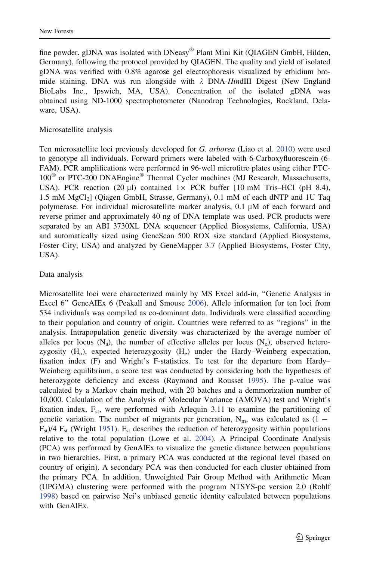fine powder. gDNA was isolated with DNeasy® Plant Mini Kit (QIAGEN GmbH, Hilden, Germany), following the protocol provided by QIAGEN. The quality and yield of isolated gDNA was verified with 0.8% agarose gel electrophoresis visualized by ethidium bromide staining. DNA was run alongside with  $\lambda$  DNA-HindIII Digest (New England BioLabs Inc., Ipswich, MA, USA). Concentration of the isolated gDNA was obtained using ND-1000 spectrophotometer (Nanodrop Technologies, Rockland, Delaware, USA).

### Microsatellite analysis

Ten microsatellite loci previously developed for G. arborea (Liao et al. [2010](#page-16-0)) were used to genotype all individuals. Forward primers were labeled with 6-Carboxyfluorescein (6- FAM). PCR amplifications were performed in 96-well microtitre plates using either PTC-100<sup>®</sup> or PTC-200 DNAEngine<sup>®</sup> Thermal Cycler machines (MJ Research, Massachusetts, USA). PCR reaction (20  $\mu$ l) contained 1× PCR buffer [10 mM Tris–HCl (pH 8.4), 1.5 mM  $MgCl<sub>2</sub>$ ] (Qiagen GmbH, Strasse, Germany), 0.1 mM of each dNTP and 1U Taq polymerase. For individual microsatellite marker analysis,  $0.1 \mu M$  of each forward and reverse primer and approximately 40 ng of DNA template was used. PCR products were separated by an ABI 3730XL DNA sequencer (Applied Biosystems, California, USA) and automatically sized using GeneScan 500 ROX size standard (Applied Biosystems, Foster City, USA) and analyzed by GeneMapper 3.7 (Applied Biosystems, Foster City, USA).

### Data analysis

Microsatellite loci were characterized mainly by MS Excel add-in, ''Genetic Analysis in Excel 6'' GeneAIEx 6 (Peakall and Smouse [2006](#page-17-0)). Allele information for ten loci from 534 individuals was compiled as co-dominant data. Individuals were classified according to their population and country of origin. Countries were referred to as ''regions'' in the analysis. Intrapopulation genetic diversity was characterized by the average number of alleles per locus  $(N_a)$ , the number of effective alleles per locus  $(N_e)$ , observed heterozygosity  $(H<sub>o</sub>)$ , expected heterozygosity  $(H<sub>e</sub>)$  under the Hardy–Weinberg expectation, fixation index (F) and Wright's F-statistics. To test for the departure from Hardy– Weinberg equilibrium, a score test was conducted by considering both the hypotheses of heterozygote deficiency and excess (Raymond and Rousset [1995](#page-17-0)). The p-value was calculated by a Markov chain method, with 20 batches and a demmorization number of 10,000. Calculation of the Analysis of Molecular Variance (AMOVA) test and Wright's fixation index,  $F_{st}$ , were performed with Arlequin 3.11 to examine the partitioning of genetic variation. The number of migrants per generation,  $N_m$ , was calculated as (1 –  $F_{st}$ )/4  $F_{st}$  (Wright [1951](#page-17-0)).  $F_{st}$  describes the reduction of heterozygosity within populations relative to the total population (Lowe et al. [2004](#page-16-0)). A Principal Coordinate Analysis (PCA) was performed by GenAlEx to visualize the genetic distance between populations in two hierarchies. First, a primary PCA was conducted at the regional level (based on country of origin). A secondary PCA was then conducted for each cluster obtained from the primary PCA. In addition, Unweighted Pair Group Method with Arithmetic Mean (UPGMA) clustering were performed with the program NTSYS-pc version 2.0 (Rohlf [1998\)](#page-17-0) based on pairwise Nei's unbiased genetic identity calculated between populations with GenAlEx.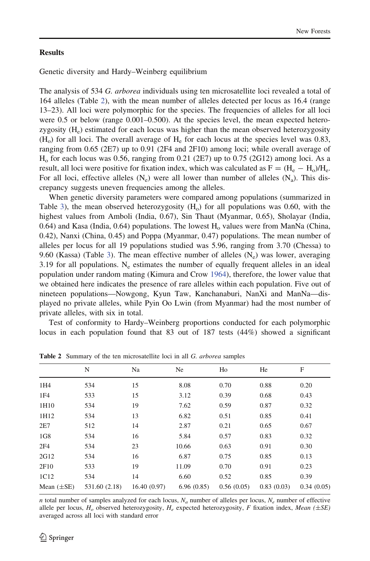## <span id="page-5-0"></span>**Results**

Genetic diversity and Hardy–Weinberg equilibrium

The analysis of 534 G. *arborea* individuals using ten microsatellite loci revealed a total of 164 alleles (Table 2), with the mean number of alleles detected per locus as 16.4 (range 13–23). All loci were polymorphic for the species. The frequencies of alleles for all loci were 0.5 or below (range 0.001–0.500). At the species level, the mean expected heterozygosity  $(H_e)$  estimated for each locus was higher than the mean observed heterozygosity  $(H<sub>o</sub>)$  for all loci. The overall average of  $H<sub>e</sub>$  for each locus at the species level was 0.83, ranging from 0.65 (2E7) up to 0.91 (2F4 and 2F10) among loci; while overall average of  $H<sub>o</sub>$  for each locus was 0.56, ranging from 0.21 (2E7) up to 0.75 (2G12) among loci. As a result, all loci were positive for fixation index, which was calculated as  $F = (H_e - H_o)/H_e$ . For all loci, effective alleles  $(N_e)$  were all lower than number of alleles  $(N_a)$ . This discrepancy suggests uneven frequencies among the alleles.

When genetic diversity parameters were compared among populations (summarized in Table [3](#page-6-0)), the mean observed heterozygosity  $(H<sub>o</sub>)$  for all populations was 0.60, with the highest values from Amboli (India, 0.67), Sin Thaut (Myanmar, 0.65), Sholayar (India, 0.64) and Kasa (India, 0.64) populations. The lowest  $H_0$  values were from ManNa (China, 0.42), Nanxi (China, 0.45) and Poppa (Myanmar, 0.47) populations. The mean number of alleles per locus for all 19 populations studied was 5.96, ranging from 3.70 (Chessa) to 9.60 (Kassa) (Table [3\)](#page-6-0). The mean effective number of alleles  $(N_e)$  was lower, averaging 3.19 for all populations. N<sub>e</sub> estimates the number of equally frequent alleles in an ideal population under random mating (Kimura and Crow [1964\)](#page-16-0), therefore, the lower value that we obtained here indicates the presence of rare alleles within each population. Five out of nineteen populations—Nowgong, Kyun Taw, Kanchanaburi, NanXi and ManNa—displayed no private alleles, while Pyin Oo Lwin (from Myanmar) had the most number of private alleles, with six in total.

Test of conformity to Hardy–Weinberg proportions conducted for each polymorphic locus in each population found that 83 out of 187 tests (44%) showed a significant

|                 | N             | Na          | Ne.        | Ho         | He         | F          |
|-----------------|---------------|-------------|------------|------------|------------|------------|
| 1H4             | 534           | 15          | 8.08       | 0.70       | 0.88       | 0.20       |
| 1F4             | 533           | 15          | 3.12       | 0.39       | 0.68       | 0.43       |
| 1H10            | 534           | 19          | 7.62       | 0.59       | 0.87       | 0.32       |
| 1H12            | 534           | 13          | 6.82       | 0.51       | 0.85       | 0.41       |
| 2E7             | 512           | 14          | 2.87       | 0.21       | 0.65       | 0.67       |
| 1G8             | 534           | 16          | 5.84       | 0.57       | 0.83       | 0.32       |
| 2F4             | 534           | 23          | 10.66      | 0.63       | 0.91       | 0.30       |
| 2G12            | 534           | 16          | 6.87       | 0.75       | 0.85       | 0.13       |
| 2F10            | 533           | 19          | 11.09      | 0.70       | 0.91       | 0.23       |
| 1C12            | 534           | 14          | 6.60       | 0.52       | 0.85       | 0.39       |
| Mean $(\pm SE)$ | 531.60 (2.18) | 16.40(0.97) | 6.96(0.85) | 0.56(0.05) | 0.83(0.03) | 0.34(0.05) |
|                 |               |             |            |            |            |            |

Table 2 Summary of the ten microsatellite loci in all G. arborea samples

n total number of samples analyzed for each locus,  $N_a$  number of alleles per locus,  $N_e$  number of effective allele per locus,  $H<sub>o</sub>$  observed heterozygosity,  $H<sub>e</sub>$  expected heterozygosity, F fixation index, Mean ( $\pm SE$ ) averaged across all loci with standard error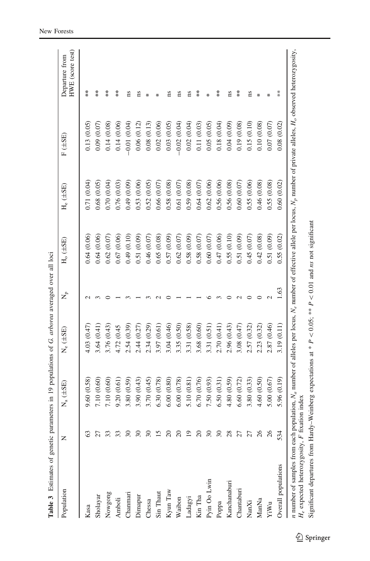<span id="page-6-0"></span>

| Table 3 Estimates of genetic parameters in 19 populations of G. arborea averaged over all loci                                                                                                                                                       |               |                |                   |      |                   |                         |               |                                    |
|------------------------------------------------------------------------------------------------------------------------------------------------------------------------------------------------------------------------------------------------------|---------------|----------------|-------------------|------|-------------------|-------------------------|---------------|------------------------------------|
| Population                                                                                                                                                                                                                                           | z             | $N_a (\pm SE)$ | $N_e$ ( $\pm$ SE) | zĥ   | $H_o$ ( $\pm$ SE) | $\rm{H_{e}\ ( \pm SE)}$ | $F(\pm SE)$   | HWE (score test)<br>Departure from |
| Kasa                                                                                                                                                                                                                                                 |               | 9.60(0.58)     | 4.03 (0.47)       |      | 0.64 (0.06)       | 0.71(0.04)              | 0.13(0.05)    | $\frac{*}{*}$                      |
| Sholayar                                                                                                                                                                                                                                             |               | 7.10 (0.60)    | 3.64 (0.41)       |      | 0.64(0.06)        | 0.68(0.05)              | 0.09(0.07)    | $\frac{*}{*}$                      |
| Nowgong                                                                                                                                                                                                                                              |               | 7.10 (0.60)    | 3.76 (0.43)       |      | 0.62(0.07)        | 0.70 (0.04)             | 0.14(0.08)    | $\ddot{*}$                         |
| Amboli                                                                                                                                                                                                                                               |               | 9.20 (0.61)    | 4.72 (0.45        |      | 0.67(0.06)        | 0.76 (0.03)             | 0.14(0.06)    | 茶茶                                 |
| Channari                                                                                                                                                                                                                                             |               | 3.80 (0.59)    | 2.54 (0.39)       |      | 0.49(0.10)        | 0.49 (0.09)             | $-0.01(0.04)$ | ns                                 |
| Dimapur                                                                                                                                                                                                                                              |               | 3.90 (0.43)    | 2.44(0.27)        |      | 0.51(0.09)        | 0.53(0.06)              | 0.06(0.12)    | Ξ                                  |
| Chessa                                                                                                                                                                                                                                               |               | 3.70 (0.45)    | 2.34 (0.29)       |      | 0.46 (0.07)       | 0.52(0.05)              | 0.08(0.13)    |                                    |
| Sin Thaut                                                                                                                                                                                                                                            | 51            | 6.30(0.78)     | 3.97 (0.61)       |      | 0.65(0.08)        | 0.66(0.07)              | 0.02(0.06)    |                                    |
| Kyun Taw                                                                                                                                                                                                                                             | $\mathcal{S}$ | 6.00(0.80)     | 3.04 (0.46)       |      | 0.57 (0.09)       | 0.58(0.08)              | 0.03(0.05)    | Ξ                                  |
| Waibon                                                                                                                                                                                                                                               | $\mathcal{S}$ | 6.00 (0.78)    | 3.35 (0.50)       |      | 0.62(0.07)        | 0.61(0.07)              | $-0.02(0.04)$ | ns                                 |
| Ladagyi                                                                                                                                                                                                                                              | 2             | 5.10 (0.81)    | 3.31 (0.58)       |      | 0.58(0.09)        | 0.59(0.08)              | 0.02(0.04)    | ns                                 |
| Kin Tha                                                                                                                                                                                                                                              |               | 6.70 (0.76)    | 3.68 (0.60)       |      | 0.58(0.07)        | 0.64(0.07)              | 0.11(0.03)    | $\ddot{\ast}$                      |
| Pyin Oo Lwin                                                                                                                                                                                                                                         | Z             | 7.50 (0.93)    | 3.31 (0.51)       |      | 0.60(0.07)        | 0.62(0.06)              | 0.05(0.05)    |                                    |
| Poppa                                                                                                                                                                                                                                                | $\mathcal{S}$ | 6.50(0.31)     | 2.70 (0.41)       |      | 0.47 (0.06)       | 0.56(0.06)              | 0.18(0.04)    | $\ddot{\tilde{z}}$                 |
| Kanchanaburi                                                                                                                                                                                                                                         |               | 4.80 (0.59)    | 2.96 (0.43)       |      | 0.55(0.10)        | 0.56(0.08)              | 0.04(0.09)    | ns                                 |
| Chantaburi                                                                                                                                                                                                                                           |               | 6.60 (0.72)    | 3.08 (0.47)       |      | 0.51(0.09)        | 0.60(0.07)              | 0.19(0.08)    | 茶米                                 |
| NanXi                                                                                                                                                                                                                                                |               | 3.80 (0.33)    | 2.57 (0.32)       |      | 0.45(0.07)        | 0.55(0.06)              | 0.15(0.10)    | ns                                 |
| ManNa                                                                                                                                                                                                                                                |               | 4.60(0.50)     | 2.23 (0.32)       |      | 0.42(0.08)        | 0.46(0.08)              | 0.10(0.08)    |                                    |
| YiWu                                                                                                                                                                                                                                                 |               | 5.00(0.67)     | 2.87 (0.46)       |      | 0.51(0.09)        | 0.55(0.08)              | 0.07(0.07)    |                                    |
| Overall populations                                                                                                                                                                                                                                  | 534           | 5.96 (0.19)    | 3.19 (0.11)       | 1.63 | 0.55(0.02)        | 0.60(0.02)              | 0.08(0.02)    | $* *$                              |
| <i>n</i> number of samples from each population, $N_a$ number of alleles per locus, $N_e$ number of effective allele per locus, $N_p$ number of private alleles, $H_o$ observed heterozygosity,<br>$H_e$ expected heterozygosity, $F$ fixation index |               |                |                   |      |                   |                         |               |                                    |

Significant departures from Hardy–Weinberg expectations at  $* P < 0.05$ ;  $* * P < 0.01$  and ns not significant

Significant departures from Hardy-Weinberg expectations at \*  $P < 0.05$ ; \*\*  $P < 0.01$  and ns not significant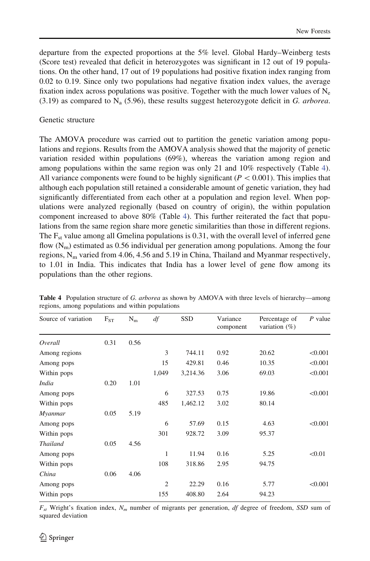departure from the expected proportions at the 5% level. Global Hardy–Weinberg tests (Score test) revealed that deficit in heterozygotes was significant in 12 out of 19 populations. On the other hand, 17 out of 19 populations had positive fixation index ranging from 0.02 to 0.19. Since only two populations had negative fixation index values, the average fixation index across populations was positive. Together with the much lower values of  $N_e$ (3.19) as compared to  $N_a$  (5.96), these results suggest heterozygote deficit in G. arborea.

# Genetic structure

The AMOVA procedure was carried out to partition the genetic variation among populations and regions. Results from the AMOVA analysis showed that the majority of genetic variation resided within populations (69%), whereas the variation among region and among populations within the same region was only 21 and 10% respectively (Table 4). All variance components were found to be highly significant ( $P < 0.001$ ). This implies that although each population still retained a considerable amount of genetic variation, they had significantly differentiated from each other at a population and region level. When populations were analyzed regionally (based on country of origin), the within population component increased to above 80% (Table 4). This further reiterated the fact that populations from the same region share more genetic similarities than those in different regions. The  $F_{st}$  value among all Gmelina populations is 0.31, with the overall level of inferred gene flow  $(N_m)$  estimated as 0.56 individual per generation among populations. Among the four regions,  $N_m$  varied from 4.06, 4.56 and 5.19 in China, Thailand and Myanmar respectively, to 1.01 in India. This indicates that India has a lower level of gene flow among its populations than the other regions.

| Source of variation | $F_{ST}$ | $N_m$ | df             | <b>SSD</b> | Variance<br>component | Percentage of<br>variation $(\%)$ | $P$ value |
|---------------------|----------|-------|----------------|------------|-----------------------|-----------------------------------|-----------|
| Overall             | 0.31     | 0.56  |                |            |                       |                                   |           |
| Among regions       |          |       | 3              | 744.11     | 0.92                  | 20.62                             | < 0.001   |
| Among pops          |          |       | 15             | 429.81     | 0.46                  | 10.35                             | < 0.001   |
| Within pops         |          |       | 1,049          | 3,214.36   | 3.06                  | 69.03                             | < 0.001   |
| <i>India</i>        | 0.20     | 1.01  |                |            |                       |                                   |           |
| Among pops          |          |       | 6              | 327.53     | 0.75                  | 19.86                             | < 0.001   |
| Within pops         |          |       | 485            | 1,462.12   | 3.02                  | 80.14                             |           |
| Myanmar             | 0.05     | 5.19  |                |            |                       |                                   |           |
| Among pops          |          |       | 6              | 57.69      | 0.15                  | 4.63                              | < 0.001   |
| Within pops         |          |       | 301            | 928.72     | 3.09                  | 95.37                             |           |
| <b>Thailand</b>     | 0.05     | 4.56  |                |            |                       |                                   |           |
| Among pops          |          |       | 1              | 11.94      | 0.16                  | 5.25                              | < 0.01    |
| Within pops         |          |       | 108            | 318.86     | 2.95                  | 94.75                             |           |
| China               | 0.06     | 4.06  |                |            |                       |                                   |           |
| Among pops          |          |       | $\overline{2}$ | 22.29      | 0.16                  | 5.77                              | < 0.001   |
| Within pops         |          |       | 155            | 408.80     | 2.64                  | 94.23                             |           |

Table 4 Population structure of G. arborea as shown by AMOVA with three levels of hierarchy—among regions, among populations and within populations

 $F_{st}$  Wright's fixation index,  $N_m$  number of migrants per generation, df degree of freedom, SSD sum of squared deviation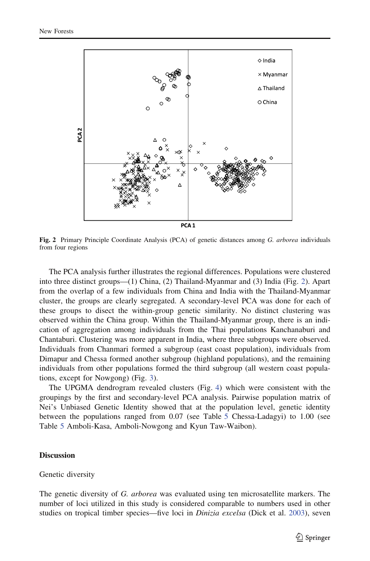

Fig. 2 Primary Principle Coordinate Analysis (PCA) of genetic distances among G. arborea individuals from four regions

The PCA analysis further illustrates the regional differences. Populations were clustered into three distinct groups—(1) China, (2) Thailand-Myanmar and (3) India (Fig. 2). Apart from the overlap of a few individuals from China and India with the Thailand-Myanmar cluster, the groups are clearly segregated. A secondary-level PCA was done for each of these groups to disect the within-group genetic similarity. No distinct clustering was observed within the China group. Within the Thailand-Myanmar group, there is an indication of aggregation among individuals from the Thai populations Kanchanaburi and Chantaburi. Clustering was more apparent in India, where three subgroups were observed. Individuals from Chanmari formed a subgroup (east coast population), individuals from Dimapur and Chessa formed another subgroup (highland populations), and the remaining individuals from other populations formed the third subgroup (all western coast populations, except for Nowgong) (Fig. [3](#page-9-0)).

The UPGMA dendrogram revealed clusters (Fig. [4\)](#page-10-0) which were consistent with the groupings by the first and secondary-level PCA analysis. Pairwise population matrix of Nei's Unbiased Genetic Identity showed that at the population level, genetic identity between the populations ranged from 0.07 (see Table [5](#page-11-0) Chessa-Ladagyi) to 1.00 (see Table [5](#page-11-0) Amboli-Kasa, Amboli-Nowgong and Kyun Taw-Waibon).

#### **Discussion**

#### Genetic diversity

The genetic diversity of G. arborea was evaluated using ten microsatellite markers. The number of loci utilized in this study is considered comparable to numbers used in other studies on tropical timber species—five loci in *Dinizia excelsa* (Dick et al. [2003](#page-16-0)), seven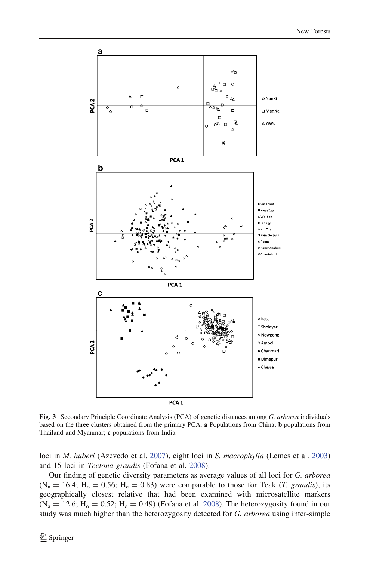<span id="page-9-0"></span>

Fig. 3 Secondary Principle Coordinate Analysis (PCA) of genetic distances among G. arborea individuals based on the three clusters obtained from the primary PCA. a Populations from China; b populations from Thailand and Myanmar; c populations from India

loci in *M. huberi* (Azevedo et al. [2007\)](#page-16-0), eight loci in *S. macrophylla* (Lemes et al. [2003](#page-16-0)) and 15 loci in Tectona grandis (Fofana et al. [2008\)](#page-16-0).

Our finding of genetic diversity parameters as average values of all loci for G. arborea  $(N_a = 16.4; H_0 = 0.56; H_e = 0.83)$  were comparable to those for Teak (T. grandis), its geographically closest relative that had been examined with microsatellite markers  $(N_a = 12.6; H_o = 0.52; H_e = 0.49)$  (Fofana et al. [2008](#page-16-0)). The heterozygosity found in our study was much higher than the heterozygosity detected for G. arborea using inter-simple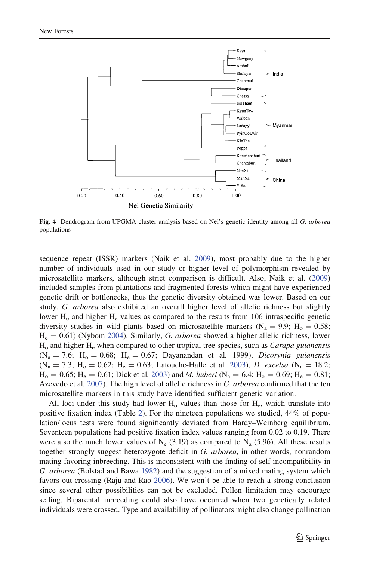<span id="page-10-0"></span>

Fig. 4 Dendrogram from UPGMA cluster analysis based on Nei's genetic identity among all G. arborea populations

sequence repeat (ISSR) markers (Naik et al. [2009](#page-16-0)), most probably due to the higher number of individuals used in our study or higher level of polymorphism revealed by microsatellite markers, although strict comparison is difficult. Also, Naik et al. ([2009](#page-16-0)) included samples from plantations and fragmented forests which might have experienced genetic drift or bottlenecks, thus the genetic diversity obtained was lower. Based on our study, G. arborea also exhibited an overall higher level of allelic richness but slightly lower  $H_0$  and higher  $H_e$  values as compared to the results from 106 intraspecific genetic diversity studies in wild plants based on microsatellite markers ( $N_a = 9.9$ ;  $H_0 = 0.58$ ;  $H<sub>e</sub> = 0.61$ ) (Nybom [2004\)](#page-17-0). Similarly, *G. arborea* showed a higher allelic richness, lower  $H<sub>o</sub>$  and higher  $H<sub>e</sub>$  when compared to other tropical tree species, such as *Carapa guianensis*  $(N_a = 7.6; H_o = 0.68; H_e = 0.67;$  Dayanandan et al. 1999), *Dicorynia guianensis*  $(N_a = 7.3; H_o = 0.62; H_e = 0.63;$  Latouche-Halle et al. [2003](#page-16-0)), *D. excelsa* (N<sub>a</sub> = 18.2;  $H_0 = 0.65$ ;  $H_e = 0.61$ ; Dick et al. [2003\)](#page-16-0) and *M. huberi* (N<sub>a</sub> = 6.4;  $H_0 = 0.69$ ;  $H_e = 0.81$ ; Azevedo et al. [2007](#page-16-0)). The high level of allelic richness in G. arborea confirmed that the ten microsatellite markers in this study have identified sufficient genetic variation.

All loci under this study had lower  $H_0$  values than those for  $H_e$ , which translate into positive fixation index (Table [2](#page-5-0)). For the nineteen populations we studied, 44% of population/locus tests were found significantly deviated from Hardy–Weinberg equilibrium. Seventeen populations had positive fixation index values ranging from 0.02 to 0.19. There were also the much lower values of  $N_e$  (3.19) as compared to  $N_a$  (5.96). All these results together strongly suggest heterozygote deficit in G. arborea, in other words, nonrandom mating favoring inbreeding. This is inconsistent with the finding of self incompatibility in G. arborea (Bolstad and Bawa [1982\)](#page-16-0) and the suggestion of a mixed mating system which favors out-crossing (Raju and Rao [2006\)](#page-17-0). We won't be able to reach a strong conclusion since several other possibilities can not be excluded. Pollen limitation may encourage selfing. Biparental inbreeding could also have occurred when two genetically related individuals were crossed. Type and availability of pollinators might also change pollination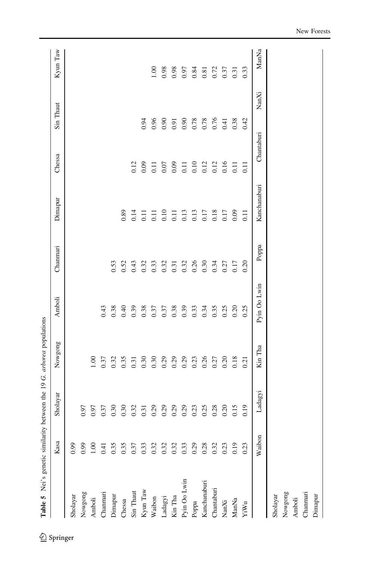<span id="page-11-0"></span>

| Table 5 Nei's genetic similarity between the 19 G. arborea populations |        |          |                |              |               |                  |                   |           |          |
|------------------------------------------------------------------------|--------|----------|----------------|--------------|---------------|------------------|-------------------|-----------|----------|
|                                                                        | Kasa   | Sholayar | Nowgong        | Amboli       | Chanmari      | Dimapur          | Chessa            | Sin Thaut | Kyun Taw |
| Sholayar                                                               | 0.99   |          |                |              |               |                  |                   |           |          |
| Nowgong                                                                | 0.99   | 0.97     |                |              |               |                  |                   |           |          |
| Amboli                                                                 | 1.00   | 0.97     | $\frac{8}{10}$ |              |               |                  |                   |           |          |
| Chanmari                                                               | 0.41   | 0.37     | 0.37           | 0.43         |               |                  |                   |           |          |
| Dimapur                                                                | 0.35   | 0.30     | 0.32           | 0.38         | 0.53          |                  |                   |           |          |
| Chessa                                                                 | 0.35   | 0.30     | 0.35           | 0.40         | 0.52          | 0.89             |                   |           |          |
| Sin Thaut                                                              | 0.37   | 0.32     | 0.31           | 0.39         | 0.43          | 0.14             | 0.12              |           |          |
| Kyun Taw                                                               | 0.33   | 0.31     | 0.30           | 0.38         | 0.32          | $\overline{11}$  | 0.09              | 0.94      |          |
| Waibon                                                                 | 0.32   | 0.29     | 0.30           | 0.37         | 0.33          | $\overline{0}$ . | $\overline{0.11}$ | 0.96      | 1.00     |
| Ladagyi                                                                | 0.32   | 0.29     | 0.29           | 0.37         | 0.32          | 0.10             | 0.07              | 0.90      | 0.98     |
| Kin Tha                                                                | 0.32   | 0.29     | 0.29           | 0.38         | 0.31          | 0.11             | 0.09              | 0.91      | 0.98     |
| Pyin Oo Lwin                                                           | 0.33   | 0.29     | 0.29           | 0.39         | 0.32          | 0.13             | $\overline{0.11}$ | 0.90      | 0.97     |
| Poppa                                                                  | 0.29   | 0.23     | 0.23           | 0.33         | 0.26          | 0.13             | 0.10              | 0.78      | 0.84     |
| Kanchanaburi                                                           | 0.28   | 0.25     | 0.26           | 0.34         | 0.30          | 0.17             | 0.12              | 0.78      | 0.81     |
| Chantaburi                                                             | 0.32   | 0.28     | 0.27           | 0.35         | 0.34          | 0.18             | 0.12              | 0.76      | 0.72     |
| NanXi                                                                  | 0.23   | 0.20     | 0.20           | 0.25         | 0.27          | 0.17             | 0.16              | 0.41      | 0.37     |
| ManNa                                                                  | 0.19   | 0.15     | 0.18           | 0.20         | 0.17          | 0.09             | $\overline{0}$    | 0.38      | 0.31     |
| YiWu                                                                   | 0.23   | 0.19     | 0.21           | 0.25         | 0.20          | $\overline{0}$ . | $\Xi$             | 0.42      | 0.33     |
|                                                                        | Waibon | Ladagyi  | Kin Tha        | Pyin Oo Lwin | ${\tt Poppa}$ | Kanchanaburi     | Chantaburi        | NanXi     | ManNa    |
| Sholayar                                                               |        |          |                |              |               |                  |                   |           |          |
| Nowgong                                                                |        |          |                |              |               |                  |                   |           |          |
| Amboli                                                                 |        |          |                |              |               |                  |                   |           |          |
| Chanmari                                                               |        |          |                |              |               |                  |                   |           |          |
| Dimapur                                                                |        |          |                |              |               |                  |                   |           |          |
|                                                                        |        |          |                |              |               |                  |                   |           |          |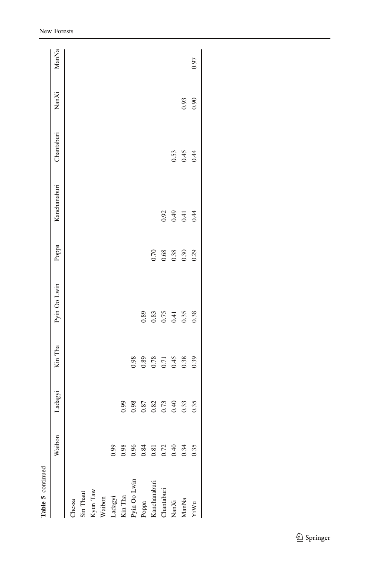| Table 5 continued               |                      |         |                                                     |                |       |                        |                |       |       |
|---------------------------------|----------------------|---------|-----------------------------------------------------|----------------|-------|------------------------|----------------|-------|-------|
|                                 | Waibon               | Ladagyi | Kin Tha                                             | Pyin Oo Lwin   | Poppa | Kanchanaburi           | Chantaburi     | NanXi | ManNa |
| Thessa                          |                      |         |                                                     |                |       |                        |                |       |       |
| Sin Thaut                       |                      |         |                                                     |                |       |                        |                |       |       |
| Kyun Taw                        |                      |         |                                                     |                |       |                        |                |       |       |
| Waibon                          |                      |         |                                                     |                |       |                        |                |       |       |
| Ladagyi                         | 0.99                 |         |                                                     |                |       |                        |                |       |       |
|                                 | 0.98                 | 66.0    |                                                     |                |       |                        |                |       |       |
| Kin Tha<br>''yin Oo Lwin        |                      | 0.98    | 0.98                                                |                |       |                        |                |       |       |
| $P^{\text{oppa}}$               | 0.96<br>0.84<br>0.81 | 0.87    | 0.89                                                | 0.89           |       |                        |                |       |       |
| Kanchanaburi                    |                      | 0.82    |                                                     | 0.83           | 0.70  |                        |                |       |       |
| Chantaburi                      | $0.72$<br>0.40       | 0.73    | $\begin{array}{c} 0.78 \\ 0.71 \\ 0.45 \end{array}$ | $0.75$<br>0.41 | 0.68  |                        |                |       |       |
| $\mathbf{N}\text{an}\mathbf{X}$ |                      | 0.40    |                                                     |                | 0.38  | $0.92$<br>0.49<br>0.41 | 0.53           |       |       |
| ManNa                           | 0.34                 | 0.33    | 0.38                                                | 0.35           | 0.30  |                        | $0.45$<br>0.44 | 0.93  |       |
| YiWu                            | 0.35                 | 0.35    | 0.39                                                | 0.38           | 0.29  |                        |                | 0.90  | 0.97  |
|                                 |                      |         |                                                     |                |       |                        |                |       |       |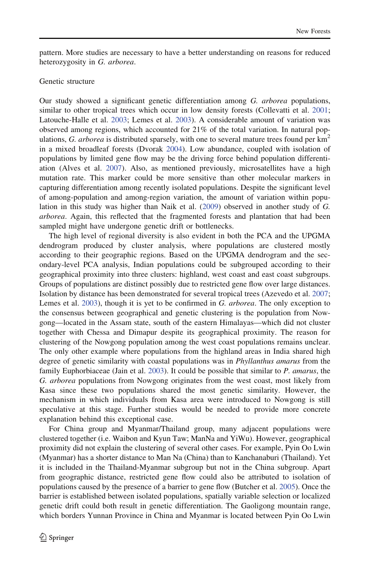pattern. More studies are necessary to have a better understanding on reasons for reduced heterozygosity in G. arborea.

### Genetic structure

Our study showed a significant genetic differentiation among G. arborea populations, similar to other tropical trees which occur in low density forests (Collevatti et al. [2001;](#page-16-0) Latouche-Halle et al. [2003;](#page-16-0) Lemes et al. [2003](#page-16-0)). A considerable amount of variation was observed among regions, which accounted for 21% of the total variation. In natural populations, G. arborea is distributed sparsely, with one to several mature trees found per  $km^2$ in a mixed broadleaf forests (Dvorak [2004\)](#page-16-0). Low abundance, coupled with isolation of populations by limited gene flow may be the driving force behind population differentiation (Alves et al. [2007\)](#page-16-0). Also, as mentioned previously, microsatellites have a high mutation rate. This marker could be more sensitive than other molecular markers in capturing differentiation among recently isolated populations. Despite the significant level of among-population and among-region variation, the amount of variation within population in this study was higher than Naik et al. [\(2009](#page-16-0)) observed in another study of G. arborea. Again, this reflected that the fragmented forests and plantation that had been sampled might have undergone genetic drift or bottlenecks.

The high level of regional diversity is also evident in both the PCA and the UPGMA dendrogram produced by cluster analysis, where populations are clustered mostly according to their geographic regions. Based on the UPGMA dendrogram and the secondary-level PCA analysis, Indian populations could be subgrouped according to their geographical proximity into three clusters: highland, west coast and east coast subgroups. Groups of populations are distinct possibly due to restricted gene flow over large distances. Isolation by distance has been demonstrated for several tropical trees (Azevedo et al. [2007;](#page-16-0) Lemes et al.  $2003$ ), though it is yet to be confirmed in  $G$ . *arborea*. The only exception to the consensus between geographical and genetic clustering is the population from Nowgong—located in the Assam state, south of the eastern Himalayas—which did not cluster together with Chessa and Dimapur despite its geographical proximity. The reason for clustering of the Nowgong population among the west coast populations remains unclear. The only other example where populations from the highland areas in India shared high degree of genetic similarity with coastal populations was in *Phyllanthus amarus* from the family Euphorbiaceae (Jain et al. [2003\)](#page-16-0). It could be possible that similar to P. amarus, the G. arborea populations from Nowgong originates from the west coast, most likely from Kasa since these two populations shared the most genetic similarity. However, the mechanism in which individuals from Kasa area were introduced to Nowgong is still speculative at this stage. Further studies would be needed to provide more concrete explanation behind this exceptional case.

For China group and Myanmar/Thailand group, many adjacent populations were clustered together (i.e. Waibon and Kyun Taw; ManNa and YiWu). However, geographical proximity did not explain the clustering of several other cases. For example, Pyin Oo Lwin (Myanmar) has a shorter distance to Man Na (China) than to Kanchanaburi (Thailand). Yet it is included in the Thailand-Myanmar subgroup but not in the China subgroup. Apart from geographic distance, restricted gene flow could also be attributed to isolation of populations caused by the presence of a barrier to gene flow (Butcher et al. [2005\)](#page-16-0). Once the barrier is established between isolated populations, spatially variable selection or localized genetic drift could both result in genetic differentiation. The Gaoligong mountain range, which borders Yunnan Province in China and Myanmar is located between Pyin Oo Lwin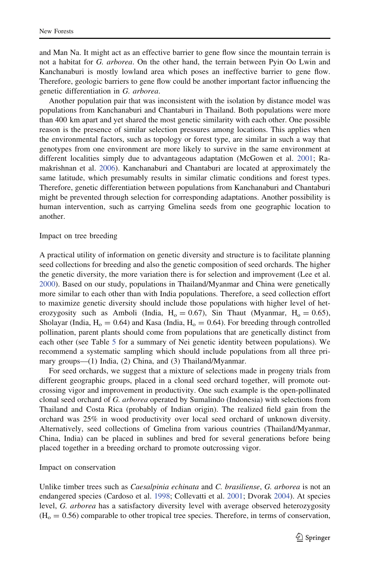and Man Na. It might act as an effective barrier to gene flow since the mountain terrain is not a habitat for G. arborea. On the other hand, the terrain between Pyin Oo Lwin and Kanchanaburi is mostly lowland area which poses an ineffective barrier to gene flow. Therefore, geologic barriers to gene flow could be another important factor influencing the genetic differentiation in G. arborea.

Another population pair that was inconsistent with the isolation by distance model was populations from Kanchanaburi and Chantaburi in Thailand. Both populations were more than 400 km apart and yet shared the most genetic similarity with each other. One possible reason is the presence of similar selection pressures among locations. This applies when the environmental factors, such as topology or forest type, are similar in such a way that genotypes from one environment are more likely to survive in the same environment at different localities simply due to advantageous adaptation (McGowen et al. [2001](#page-16-0); Ramakrishnan et al. [2006\)](#page-17-0). Kanchanaburi and Chantaburi are located at approximately the same latitude, which presumably results in similar climatic conditions and forest types. Therefore, genetic differentiation between populations from Kanchanaburi and Chantaburi might be prevented through selection for corresponding adaptations. Another possibility is human intervention, such as carrying Gmelina seeds from one geographic location to another.

### Impact on tree breeding

A practical utility of information on genetic diversity and structure is to facilitate planning seed collections for breeding and also the genetic composition of seed orchards. The higher the genetic diversity, the more variation there is for selection and improvement (Lee et al. [2000\)](#page-16-0). Based on our study, populations in Thailand/Myanmar and China were genetically more similar to each other than with India populations. Therefore, a seed collection effort to maximize genetic diversity should include those populations with higher level of heterozygosity such as Amboli (India,  $H_0 = 0.67$ ), Sin Thaut (Myanmar,  $H_0 = 0.65$ ), Sholayar (India,  $H_0 = 0.64$ ) and Kasa (India,  $H_0 = 0.64$ ). For breeding through controlled pollination, parent plants should come from populations that are genetically distinct from each other (see Table [5](#page-11-0) for a summary of Nei genetic identity between populations). We recommend a systematic sampling which should include populations from all three primary groups—(1) India, (2) China, and (3) Thailand/Myanmar.

For seed orchards, we suggest that a mixture of selections made in progeny trials from different geographic groups, placed in a clonal seed orchard together, will promote outcrossing vigor and improvement in productivity. One such example is the open-pollinated clonal seed orchard of G. arborea operated by Sumalindo (Indonesia) with selections from Thailand and Costa Rica (probably of Indian origin). The realized field gain from the orchard was 25% in wood productivity over local seed orchard of unknown diversity. Alternatively, seed collections of Gmelina from various countries (Thailand/Myanmar, China, India) can be placed in sublines and bred for several generations before being placed together in a breeding orchard to promote outcrossing vigor.

#### Impact on conservation

Unlike timber trees such as *Caesalpinia echinata* and *C. brasiliense*, *G. arborea* is not an endangered species (Cardoso et al. [1998](#page-16-0); Collevatti et al. [2001;](#page-16-0) Dvorak [2004](#page-16-0)). At species level, G. arborea has a satisfactory diversity level with average observed heterozygosity  $(H<sub>o</sub> = 0.56)$  comparable to other tropical tree species. Therefore, in terms of conservation,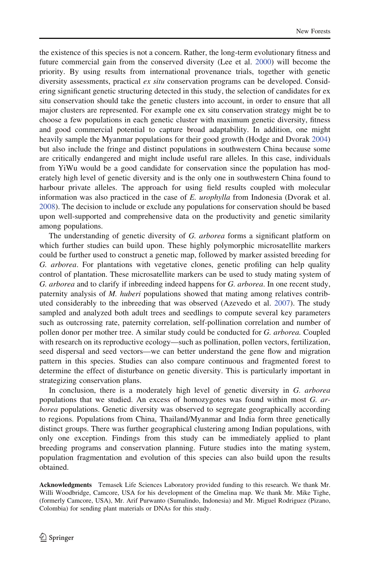the existence of this species is not a concern. Rather, the long-term evolutionary fitness and future commercial gain from the conserved diversity (Lee et al. [2000](#page-16-0)) will become the priority. By using results from international provenance trials, together with genetic diversity assessments, practical *ex situ* conservation programs can be developed. Considering significant genetic structuring detected in this study, the selection of candidates for ex situ conservation should take the genetic clusters into account, in order to ensure that all major clusters are represented. For example one ex situ conservation strategy might be to choose a few populations in each genetic cluster with maximum genetic diversity, fitness and good commercial potential to capture broad adaptability. In addition, one might heavily sample the Myanmar populations for their good growth (Hodge and Dvorak [2004](#page-16-0)) but also include the fringe and distinct populations in southwestern China because some are critically endangered and might include useful rare alleles. In this case, individuals from YiWu would be a good candidate for conservation since the population has moderately high level of genetic diversity and is the only one in southwestern China found to harbour private alleles. The approach for using field results coupled with molecular information was also practiced in the case of E. urophylla from Indonesia (Dvorak et al. [2008\)](#page-16-0). The decision to include or exclude any populations for conservation should be based upon well-supported and comprehensive data on the productivity and genetic similarity among populations.

The understanding of genetic diversity of G. arborea forms a significant platform on which further studies can build upon. These highly polymorphic microsatellite markers could be further used to construct a genetic map, followed by marker assisted breeding for G. arborea. For plantations with vegetative clones, genetic profiling can help quality control of plantation. These microsatellite markers can be used to study mating system of G. arborea and to clarify if inbreeding indeed happens for G. arborea. In one recent study, paternity analysis of M. huberi populations showed that mating among relatives contributed considerably to the inbreeding that was observed (Azevedo et al. [2007\)](#page-16-0). The study sampled and analyzed both adult trees and seedlings to compute several key parameters such as outcrossing rate, paternity correlation, self-pollination correlation and number of pollen donor per mother tree. A similar study could be conducted for G. arborea. Coupled with research on its reproductive ecology—such as pollination, pollen vectors, fertilization, seed dispersal and seed vectors—we can better understand the gene flow and migration pattern in this species. Studies can also compare continuous and fragmented forest to determine the effect of disturbance on genetic diversity. This is particularly important in strategizing conservation plans.

In conclusion, there is a moderately high level of genetic diversity in G. arborea populations that we studied. An excess of homozygotes was found within most G. arborea populations. Genetic diversity was observed to segregate geographically according to regions. Populations from China, Thailand/Myanmar and India form three genetically distinct groups. There was further geographical clustering among Indian populations, with only one exception. Findings from this study can be immediately applied to plant breeding programs and conservation planning. Future studies into the mating system, population fragmentation and evolution of this species can also build upon the results obtained.

Acknowledgments Temasek Life Sciences Laboratory provided funding to this research. We thank Mr. Willi Woodbridge, Camcore, USA for his development of the Gmelina map. We thank Mr. Mike Tighe, (formerly Camcore, USA), Mr. Arif Purwanto (Sumalindo, Indonesia) and Mr. Miguel Rodriguez (Pizano, Colombia) for sending plant materials or DNAs for this study.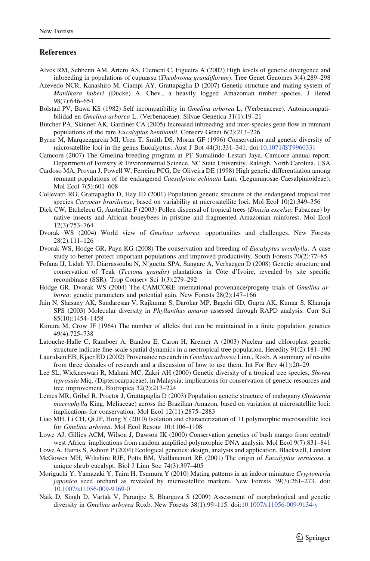### <span id="page-16-0"></span>**References**

- Alves RM, Sebbenn AM, Artero AS, Clement C, Figueira A (2007) High levels of genetic divergence and inbreeding in populations of cupuassu (Theobroma grandiflorum). Tree Genet Genomes 3(4):289-298
- Azevedo NCR, Kanashiro M, Ciampi AY, Grattapaglia D (2007) Genetic structure and mating system of Manilkara huberi (Ducke) A. Chev., a heavily logged Amazonian timber species. J Hered 98(7):646–654
- Bolstad PV, Bawa KS (1982) Self incompatibility in *Gmelina arborea* L. (Verbenaceae). Autoincompatibilidad en Gmelina arborea L. (Verbenaceae). Silvae Genetica 31(1):19–21
- Butcher PA, Skinner AK, Gardiner CA (2005) Increased inbreeding and inter-species gene flow in remnant populations of the rare Eucalyptus benthamii. Conserv Genet 6(2):213–226
- Byrne M, Marquezgarcia MI, Uren T, Smith DS, Moran GF (1996) Conservation and genetic diversity of microsatellite loci in the genus Eucalyptus. Aust J Bot 44(3):331–341. doi[:10.1071/BT9960331](http://dx.doi.org/10.1071/BT9960331)
- Camcore (2007) The Gmelina breeding program at PT Sumalindo Lestari Jaya. Camcore annual report. Department of Forestry & Environmental Science, NC State University, Raleigh, North Carolina, USA
- Cardoso MA, Provan J, Powell W, Ferreira PCG, De Oliveira DE (1998) High genetic differentiation among remnant populations of the endangered *Caesalpinia echinata* Lam. (Leguminosae-Caesalpinioideae). Mol Ecol 7(5):601–608
- Collevatti RG, Grattapaglia D, Hay JD (2001) Population genetic structure of the endangered tropical tree species Caryocar brasiliense, based on variability at microsatellite loci. Mol Ecol 10(2):349–356
- Dick CW, Etchelecu G, Austerlitz F (2003) Pollen dispersal of tropical trees (Dinizia excelsa: Fabaceae) by native insects and African honeybees in pristine and fragmented Amazonian rainforest. Mol Ecol 12(3):753–764
- Dvorak WS (2004) World view of Gmelina arborea: opportunities and challenges. New Forests 28(2):111–126
- Dvorak WS, Hodge GR, Payn KG (2008) The conservation and breeding of *Eucalyptus urophylla*: A case study to better protect important populations and improved productivity. South Forests 70(2):77–85
- Fofana IJ, Lidah YJ, Diarrassouba N, N'guetta SPA, Sangare A, Verhaegen D (2008) Genetic structure and conservation of Teak (Tectona grandis) plantations in Côte d'Ivoire, revealed by site specific recombinase (SSR). Trop Conserv Sci 1(3):279–292
- Hodge GR, Dvorak WS (2004) The CAMCORE international provenance/progeny trials of Gmelina arborea: genetic parameters and potential gain. New Forests 28(2):147–166
- Jain N, Shasany AK, Sundaresan V, Rajkumar S, Darokar MP, Bagchi GD, Gupta AK, Kumar S, Khanuja SPS (2003) Molecular diversity in Phyllanthus amarus assessed through RAPD analysis. Curr Sci 85(10):1454–1458
- Kimura M, Crow JF (1964) The number of alleles that can be maintained in a finite population genetics 49(4):725–738
- Latouche-Halle C, Ramboer A, Bandou E, Caron H, Kremer A (2003) Nuclear and chloroplast genetic structure indicate fine-scale spatial dynamics in a neotropical tree population. Heredity 91(2):181–190
- Lauridsen EB, Kjaer ED (2002) Provenance research in *Gmelina arborea* Linn., Roxb. A summary of results from three decades of research and a discussion of how to use them. Int For Rev 4(1):20–29
- Lee SL, Wickneswari R, Mahani MC, Zakri AH (2000) Genetic diversity of a tropical tree species, Shorea leprosula Miq. (Dipterocarpaceae), in Malaysia: implications for conservation of genetic resources and tree improvement. Biotropica 32(2):213–224
- Lemes MR, Gribel R, Proctor J, Grattapaglia D (2003) Population genetic structure of mahogany (Swietenia macrophylla King, Meliaceae) across the Brazilian Amazon, based on variation at microsatellite loci: implications for conservation. Mol Ecol 12(11):2875–2883
- Liao MH, Li CH, Qi JF, Hong Y (2010) Isolation and characterization of 11 polymorphic microsatellite loci for Gmelina arborea. Mol Ecol Resour 10:1106–1108
- Lowe AJ, Gillies ACM, Wilson J, Dawson IK (2000) Conservation genetics of bush mango from central/ west Africa: implications from random amplified polymorphic DNA analysis. Mol Ecol 9(7):831–841
- Lowe A, Harris S, Ashton P (2004) Ecological genetics: design, analysis and application. Blackwell, London
- McGowen MH, Wiltshire RJE, Potts BM, Vaillancourt RE (2001) The origin of Eucalyptus vernicosa, a unique shrub eucalypt. Biol J Linn Soc 74(3):397–405
- Moriguchi Y, Yamazaki Y, Taira H, Tsumura Y (2010) Mating patterns in an indoor miniature Cryptomeria japonica seed orchard as revealed by microsatellite markers. New Forests 39(3):261-273. doi: [10.1007/s11056-009-9169-0](http://dx.doi.org/10.1007/s11056-009-9169-0)
- Naik D, Singh D, Vartak V, Paranjpe S, Bhargava S (2009) Assessment of morphological and genetic diversity in Gmelina arborea Roxb. New Forests 38(1):99–115. doi:[10.1007/s11056-009-9134-y](http://dx.doi.org/10.1007/s11056-009-9134-y)